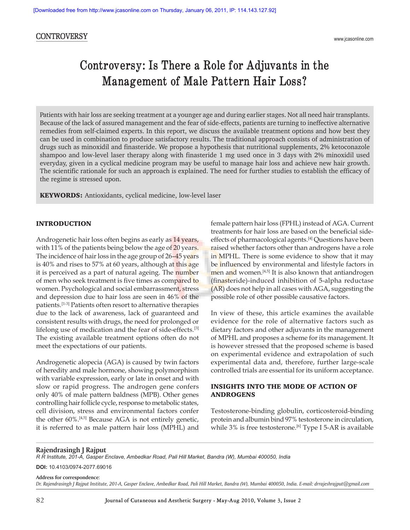# **CONTROVERSY**

# **Controversy: Is There a Role for Adjuvants in the Management of Male Pattern Hair Loss?**

Patients with hair loss are seeking treatment at a younger age and during earlier stages. Not all need hair transplants. Because of the lack of assured management and the fear of side-effects, patients are turning to ineffective alternative remedies from self-claimed experts. In this report, we discuss the available treatment options and how best they can be used in combination to produce satisfactory results. The traditional approach consists of administration of drugs such as minoxidil and finasteride. We propose a hypothesis that nutritional supplements, 2% ketoconazole shampoo and low-level laser therapy along with finasteride 1 mg used once in 3 days with 2% minoxidil used everyday, given in a cyclical medicine program may be useful to manage hair loss and achieve new hair growth. The scientific rationale for such an approach is explained. The need for further studies to establish the efficacy of the regime is stressed upon.

KEYWORDS: Antioxidants, cyclical medicine, low-level laser

#### INTRODUCTION

Androgenetic hair loss often begins as early as 14 years, with 11% of the patients being below the age of 20 years. The incidence of hair loss in the age group of 26–45 years is 40% and rises to 57% at 60 years, although at this age it is perceived as a part of natural ageing. The number of men who seek treatment is five times as compared to women. Psychological and social embarrassment, stress and depression due to hair loss are seen in 46% of the patients.[1-3] Patients often resort to alternative therapies due to the lack of awareness, lack of guaranteed and consistent results with drugs, the need for prolonged or lifelong use of medication and the fear of side-effects.[3] The existing available treatment options often do not meet the expectations of our patients.

Androgenetic alopecia (AGA) is caused by twin factors of heredity and male hormone, showing polymorphism with variable expression, early or late in onset and with slow or rapid progress. The androgen gene confers only 40% of male pattern baldness (MPB). Other genes controlling hair follicle cycle, response to metabolic states, cell division, stress and environmental factors confer the other 60%.[4,5] Because AGA is not entirely genetic, it is referred to as male pattern hair loss (MPHL) and female pattern hair loss (FPHL) instead of AGA. Current treatments for hair loss are based on the beneficial sideeffects of pharmacological agents.[4] Questions have been raised whether factors other than androgens have a role in MPHL. There is some evidence to show that it may be influenced by environmental and lifestyle factors in men and women.<sup>[4,5]</sup> It is also known that antiandrogen (finasteride)-induced inhibition of 5-alpha reductase (AR) does not help in all cases with AGA, suggesting the possible role of other possible causative factors.

In view of these, this article examines the available evidence for the role of alternative factors such as dietary factors and other adjuvants in the management of MPHL and proposes a scheme for its management. It is however stressed that the proposed scheme is based on experimental evidence and extrapolation of such experimental data and, therefore, further large-scale controlled trials are essential for its uniform acceptance.

## INSIGHTS INTO THE MODE OF ACTION OF ANDROGENS

Testosterone-binding globulin, corticosteroid-binding protein and albumin bind 97% testosterone in circulation, while  $3\%$  is free testosterone.<sup>[6]</sup> Type I 5-AR is available

#### **Rajendrasingh J Rajput**

*R R Institute, 201-A, Gasper Enclave, Ambedkar Road, Pali Hill Market, Bandra (W), Mumbai 400050, India*

**DOI:** 10.4103/0974-2077.69016

**Address for correspondence:** 

*Dr. Rajendrasingh J Rajput Institute, 201-A, Gasper Enclave, Ambedkar Road, Pali Hill Market, Bandra (W), Mumbai 400050, India. E-mail: drrajeshrajput@gmail.com*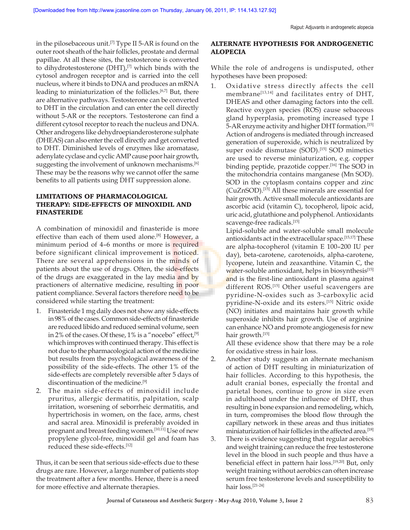in the pilosebaceous unit.<sup>[7]</sup> Type II 5-AR is found on the outer root sheath of the hair follicles, prostate and dermal papillae. At all these sites, the testosterone is converted to dihydrotestosterone  $(DHT)$ ,<sup>[7]</sup> which binds with the cytosol androgen receptor and is carried into the cell nucleus, where it binds to DNA and produces an mRNA leading to miniaturization of the follicles.<sup>[6,7]</sup> But, there are alternative pathways. Testosterone can be converted to DHT in the circulation and can enter the cell directly without 5-AR or the receptors. Testosterone can find a different cytosol receptor to reach the nucleus and DNA. Other androgens like dehydroepianderosterone sulphate (DHEAS) can also enter the cell directly and get converted to DHT. Diminished levels of enzymes like aromatase, adenylate cyclase and cyclic AMP cause poor hair growth, suggesting the involvement of unknown mechanisms.<sup>[6]</sup> These may be the reasons why we cannot offer the same benefits to all patients using DHT suppression alone.

# LIMITATIONS OF PHARMACOLOGICAL THERAPY: SIDE-EFFECTS OF MINOXIDIL AND FINASTERIDE

A combination of minoxidil and finasteride is more effective than each of them used alone.[8] However, a minimum period of 4–6 months or more is required before significant clinical improvement is noticed. There are several apprehensions in the minds of patients about the use of drugs. Often, the side-effects of the drugs are exaggerated in the lay media and by practioners of alternative medicine, resulting in poor patient compliance. Several factors therefore need to be considered while starting the treatment:

- 1. Finasteride 1 mg daily does not show any side-effects in 98% of the cases. Common side-effects of finasteride are reduced libido and reduced seminal volume, seen in 2% of the cases. Of these, 1% is a "nocebo" effect, [9] which improves with continued therapy. This effect is not due to the pharmacological action of the medicine but results from the psychological awareness of the possibility of the side-effects. The other 1% of the side-effects are completely reversible after 5 days of discontinuation of the medicine.<sup>[9]</sup>
- 2. The main side-effects of minoxidil include pruritus, allergic dermatitis, palpitation, scalp irritation, worsening of seborrheic dermatitis, and hypertrichosis in women, on the face, arms, chest and sacral area. Minoxidil is preferably avoided in pregnant and breast feeding women.<sup>[10,11]</sup> Use of new propylene glycol-free, minoxidil gel and foam has reduced these side-effects.[12]

Thus, it can be seen that serious side-effects due to these drugs are rare. However, a large number of patients stop the treatment after a few months. Hence, there is a need for more effective and alternate therapies.

## ALTERNATE HYPOTHESIS FOR ANDROGENETIC ALOPECIA

While the role of androgens is undisputed, other hypotheses have been proposed:

1. Oxidative stress directly affects the cell membrane<sup>[13,14]</sup> and facilitates entry of DHT, DHEAS and other damaging factors into the cell. Reactive oxygen species (ROS) cause sebaceous gland hyperplasia, promoting increased type I 5-AR enzyme activity and higher DHT formation.[15] Action of androgens is mediated through increased generation of superoxide, which is neutralized by super oxide dismutase (SOD).<sup>[15]</sup> SOD mimetics are used to reverse miniaturization, e.g. copper binding peptide, prazotide copper.<sup>[16]</sup> The SOD in the mitochondria contains manganese (Mn SOD). SOD in the cytoplasm contains copper and zinc (CuZnSOD).[15] All these minerals are essential for hair growth. Active small molecule antioxidants are ascorbic acid (vitamin C), tocopherol, lipoic acid, uric acid, glutathione and polyphenol. Antioxidants scavenge-free radicals.<sup>[15]</sup>

Lipid-soluble and water-soluble small molecule antioxidants act in the extracellular space.[15,17] These are alpha-tocopherol (vitamin E 100–200 IU per day), beta-carotene, carotenoids, alpha-carotene, lycopene, lutein and zeaxanthine. Vitamin C, the water-soluble antioxidant, helps in biosynthesis<sup>[15]</sup> and is the first-line antioxidant in plasma against different ROS.<sup>[15]</sup> Other useful scavengers are pyridine-N-oxides such as 3-carboxylic acid pyridine-N-oxide and its esters.[15] Nitric oxide (NO) initiates and maintains hair growth while superoxide inhibits hair growth. Use of arginine can enhance NO and promote angiogenesis for new hair growth.[15]

All these evidence show that there may be a role for oxidative stress in hair loss.

- 2. Another study suggests an alternate mechanism of action of DHT resulting in miniaturization of hair follicles. According to this hypothesis, the adult cranial bones, especially the frontal and parietal bones, continue to grow in size even in adulthood under the influence of DHT, thus resulting in bone expansion and remodeling, which, in turn, compromises the blood flow through the capillary network in these areas and thus initiates miniaturization of hair follicles in the affected area.[18]
- 3. There is evidence suggesting that regular aerobics and weight training can reduce the free testosterone level in the blood in such people and thus have a beneficial effect in pattern hair loss.[19,20] But, only weight training without aerobics can often increase serum free testosterone levels and susceptibility to hair loss.[21-24]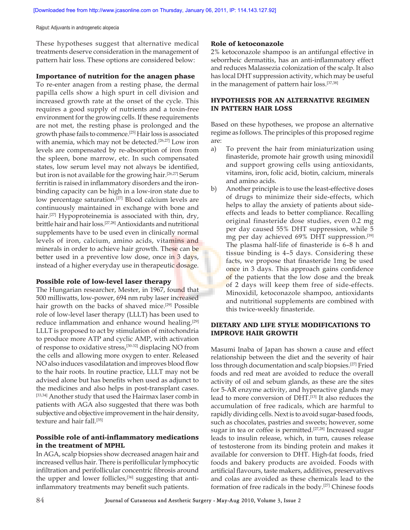Rajput: Adjuvants in androgenetic alopecia

These hypotheses suggest that alternative medical treatments deserve consideration in the management of pattern hair loss. These options are considered below:

### Importance of nutrition for the anagen phase

To re-enter anagen from a resting phase, the dermal papilla cells show a high spurt in cell division and increased growth rate at the onset of the cycle. This requires a good supply of nutrients and a toxin-free environment for the growing cells. If these requirements are not met, the resting phase is prolonged and the growth phase fails to commence.[25] Hair loss is associated with anemia, which may not be detected.<sup>[26,27]</sup> Low iron levels are compensated by re-absorption of iron from the spleen, bone marrow, etc. In such compensated states, low serum level may not always be identified, but iron is not available for the growing hair.[26,27] Serum ferritin is raised in inflammatory disorders and the ironbinding capacity can be high in a low-iron state due to low percentage saturation.<sup>[27]</sup> Blood calcium levels are continuously maintained in exchange with bone and hair.<sup>[27]</sup> Hypoproteinemia is associated with thin, dry, brittle hair and hair loss.[27,28] Antioxidants and nutritional supplements have to be used even in clinically normal levels of iron, calcium, amino acids, vitamins and minerals in order to achieve hair growth. These can be better used in a preventive low dose, once in 3 days, instead of a higher everyday use in therapeutic dosage.

### Possible role of low-level laser therapy

The Hungarian researcher, Mester, in 1967, found that 500 milliwatts, low-power, 694 nm ruby laser increased hair growth on the backs of shaved mice.<sup>[29]</sup> Possible role of low-level laser therapy (LLLT) has been used to reduce inflammation and enhance wound healing.<sup>[29]</sup> LLLT is proposed to act by stimulation of mitochondria to produce more ATP and cyclic AMP, with activation of response to oxidative stress,[30-32] displacing NO from the cells and allowing more oxygen to enter. Released NO also induces vasodilatation and improves blood flow to the hair roots. In routine practice, LLLT may not be advised alone but has benefits when used as adjunct to the medicines and also helps in post-transplant cases. [33,34] Another study that used the Hairmax laser comb in patients with AGA also suggested that there was both subjective and objective improvement in the hair density, texture and hair fall.[35]

## Possible role of anti-inflammatory medications in the treatment of MPHL

In AGA, scalp biopsies show decreased anagen hair and increased vellus hair. There is perifollicular lymphocytic infiltration and perifollicular concentric fibrosis around the upper and lower follicles,<sup>[36]</sup> suggesting that antiinflammatory treatments may benefit such patients.

## Role of ketoconazole

2% ketoconazole shampoo is an antifungal effective in seborrheic dermatitis, has an anti-inflammatory effect and reduces Malassezia colonization of the scalp. It also has local DHT suppression activity, which may be useful in the management of pattern hair loss.[37,38]

## HYPOTHESIS FOR AN ALTERNATIVE REGIMEN IN PATTERN HAIR LOSS

Based on these hypotheses, we propose an alternative regime as follows. The principles of this proposed regime are:

- a) To prevent the hair from miniaturization using finasteride, promote hair growth using minoxidil and support growing cells using antioxidants, vitamins, iron, folic acid, biotin, calcium, minerals and amino acids.
- b) Another principle is to use the least-effective doses of drugs to minimize their side-effects, which helps to allay the anxiety of patients about sideeffects and leads to better compliance. Recalling original finasteride dose studies, even 0.2 mg per day caused 55% DHT suppression, while 5 mg per day achieved 69% DHT suppression.[39] The plasma half-life of finasteride is 6–8 h and tissue binding is 4–5 days. Considering these facts, we propose that finasteride 1mg be used once in 3 days. This approach gains confidence of the patients that the low dose and the break of 2 days will keep them free of side-effects. Minoxidil, ketoconazole shampoo, antioxidants and nutritional supplements are combined with this twice-weekly finasteride.

## DIETARY AND LIFE STYLE MODIFICATIONS TO IMPROVE HAIR GROWTH

Masumi Inaba of Japan has shown a cause and effect relationship between the diet and the severity of hair loss through documentation and scalp biopsies.[27] Fried foods and red meat are avoided to reduce the overall activity of oil and sebum glands, as these are the sites for 5-AR enzyme activity, and hyperactive glands may lead to more conversion of DHT.[13] It also reduces the accumulation of free radicals, which are harmful to rapidly dividing cells. Next is to avoid sugar-based foods, such as chocolates, pastries and sweets; however, some sugar in tea or coffee is permitted.[27,28] Increased sugar leads to insulin release, which, in turn, causes release of testosterone from its binding protein and makes it available for conversion to DHT. High-fat foods, fried foods and bakery products are avoided. Foods with artificial flavours, taste makers, additives, preservatives and colas are avoided as these chemicals lead to the formation of free radicals in the body.[27] Chinese foods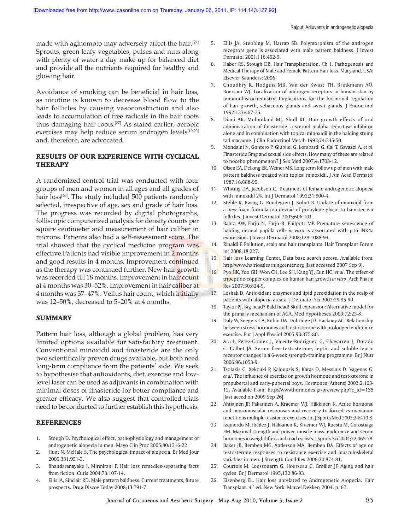made with aginomoto may adversely affect the hair.<sup>[27]</sup> Sprouts, green leafy vegetables, pulses and nuts along with plenty of water a day make up for balanced diet and provide all the nutrients required for healthy and glowing hair.

Avoidance of smoking can be beneficial in hair loss, as nicotine is known to decrease blood flow to the hair follicles by causing vasoconstriction and also leads to accumulation of free radicals in the hair roots thus damaging hair roots.[27] As stated earlier, aerobic exercises may help reduce serum androgen levels<sup>[19,20]</sup> and, therefore, are advocated.

## RESULTS OF OUR EXPERIENCE WITH CYCLICAL THERAPY

A randomized control trial was conducted with four groups of men and women in all ages and all grades of hair loss<sup>[40]</sup>. The study included 500 patients randomly selected, irrespective of age, sex and grade of hair loss. The progress was recorded by digital photographs, folliscopic computerized analysis for density counts per square centimeter and measurement of hair caliber in microns. Patients also had a self-assessment score. The trial showed that the cyclical medicine program was effective.Patients had visible improvement in 2 months and good results in 4 months. Improvement continued as the therapy was continued further. New hair growth was recorded till 18 months. Improvement in hair count at 4 months was 30–52%. Improvement in hair caliber at 4 months was 37-47%. Vellus hair count, which initially was 12–50%, decreased to 5–20% at 4 months.

#### **SUMMARY**

Pattern hair loss, although a global problem, has very limited options available for satisfactory treatment. Conventional minoxidil and finasteride are the only two scientifically proven drugs available, but both need long-term compliance from the patients' side. We seek to hypothesise that antioxidants, diet, exercise and lowlevel laser can be used as adjuvants in combination with minimal doses of finasteride for better compliance and greater efficacy. We also suggest that controlled trials need to be conducted to further establish this hypothesis.

#### REFERENCES

- 1. Stough D. Psychological effect, pathophysiology and management of androgenetic alopecia in men. Mayo Clin Proc 2005;80:1316-22.
- 2. Hunt N, McHale S. The psychological impact of alopecia. Br Med Jour 2005;331:951-3.
- 3. Bhandaranayake I, Mirmirani P. Hair loss remedies-separating facts from fiction. Cutis 2004;73:107-14.
- 4. Ellis JA, Sinclair RD. Male pattern baldness: Current treatments, future prospects. Drug Discov Today 2008;13:791-7.
- 5. Ellis JA, Stebbing M, Harrap SB. Polymorphism of the androgen receptors gene is associated with male pattern baldness. J Invest Dermatol 2001;116:452-5.
- 6. Haber RS, Stough DB. Hair Transplantation, Ch 1. Pathogenesis and Medical Therapy of Male and Female Pattern Hair loss. Maryland, USA: Elsevier Saunders; 2006.
- 7. Choudhry R, Hodgins MB, Van der Kwast TH, Brinkmann AO, Boersam WJ. Localization of androgen receptors in human skin by immunohistochemistry: Implications for the hormonal regulation of hair growth, sebaceous glands and sweat glands. J Endocrinol 1992;133:467-75.
- 8. Diani AR, Mulholland MJ, Shull KL. Hair growth effects of oral administration of finasteride, a steroid 5-alpha reductase inhibitor, alone and in combination with topical minoxidil in the balding stump tail macaque. J Clin Endocrinol Metab 1992;74:345-50.
- 9. Mondaini N, Gontero P, Giubilei G, Lombardi G, Cai T, Gavazzi A, *et al*. Finasteride 5mg and sexual side effects: How many of these are related to nocebo phenomenon? J Sex Med 2007;4:1708-12.
- 10. Olsen EA, DeLong ER, Weiner MS. Long term follow up of men with male pattern baldness treated with topical minoxidil. J Am Acad Dermatol 1987;16:688-95.
- 11. Whiting DA, Jacobson C. Treatment of female androgenetic alopecia with minoxidil 2%. Int J Dermatol 1992;31:800-4.
- 12. Stehle R, Ewing G, Rundegren J, Kohut B. Update of minoxidil from a new foam formulation devoid of propylene glycol to hamster ear follicles. J Invest Dermatol 2005;606:101.
- 13. Bahta AW, Farjo N, Farjo B, Philpott MP. Premature senescence of balding dermal papilla cells *in vitro* is associated with p16 INK4a expression. J Invest Dermatol 2008;128:1088-94.
- 14. Rinaldi F. Pollution, scalp and hair transplants. Hair Transplant Forum Int 2008;18:227.
- 15. Hair loss Learning Center, Data base search access. Available from: http//www.hairlosslearningcenter.org [last accessed 2007 Sep 9].
- 16. Pyo HK, Yoo GH, Won CH, Lee SH, Kang YJ, Eun HC, *et al*. The effect of tripeptide-copper complex on human hair growth *in vitro*. Arch Pharm Res 2007;30:834-9.
- 17. Loshak D. Antioxidant enzymes and lipid peroxidation in the scalp of patients with alopecia areata. J Dermatol Sci 2002:29:85-90.
- 18. Taylor PJ. Big head? Bald head! Skull expansion: Alternative model for the primary mechanism of AGA. Med Hypotheses 2009;72:23-8.
- 19. Daly W, Seegers CA, Rubin DA, Dobridge JD, Hackney AC. Relationship between stress hormones and testosterone with prolonged endurance exercise. Eur J Appl Physiol 2005;93:375-80.
- 20. Ara I, Perez-Gomez J, Vicente-Rodriguez G, Chavarren J, Dorado C, Calbet JA. Serum free testosterone, leptin and soluble leptin receptor changes in a 6-week strength-training programme. Br J Nutr 2006;96:1053-9.
- 21. Tsolakis C, Xekouki P, Kaloupsis S, Karas D, Messinis D, Vagenas G, *et al*. The influence of exercise on growth hormone and testosterone in prepubertal and early-pubertal boys. Hormones (Athens) 2003;2:103- 12. Available from: http://www.hormones.gr/preview.php?c\_id=135 [last acced on 2009 Sep 26].
- 22. Ahtiainen JP, Pakarinen A, Kraemer WJ, Häkkinen K. Acute hormonal and neuromuscular responses and recovery to forced vs maximum repetitions multiple resistance exercises. Int J Sports Med 2003;24:410-8.
- 23. Izquierdo M, Ibáñez J, Häkkinen K, Kraemer WJ, Ruesta M, Gorostiaga EM. Maximal strength and power, muscle mass, endurance and serum hormones in weightlifters and road cyclists. J Sports Sci 2004;22:465-78.
- 24. Baker JR, Bemben MG, Anderson MA, Bemben DA. Effects of age on testosterone responses to resistance exercise and musculoskeletal variables in men. J Strength Cond Res 2006;20:874-81.
- 25. Courtois M, Loussouarm G, Hourseau C, Grollier JF. Aging and hair cycles. Br J Dermatol 1995;132:86-93.
- 26. Eisenberg EL. Hair loss unrelated to Androgenetic Alopecia. Hair Transplant. 4th ed. New York: Marcel Dekker; 2004. p. 67.